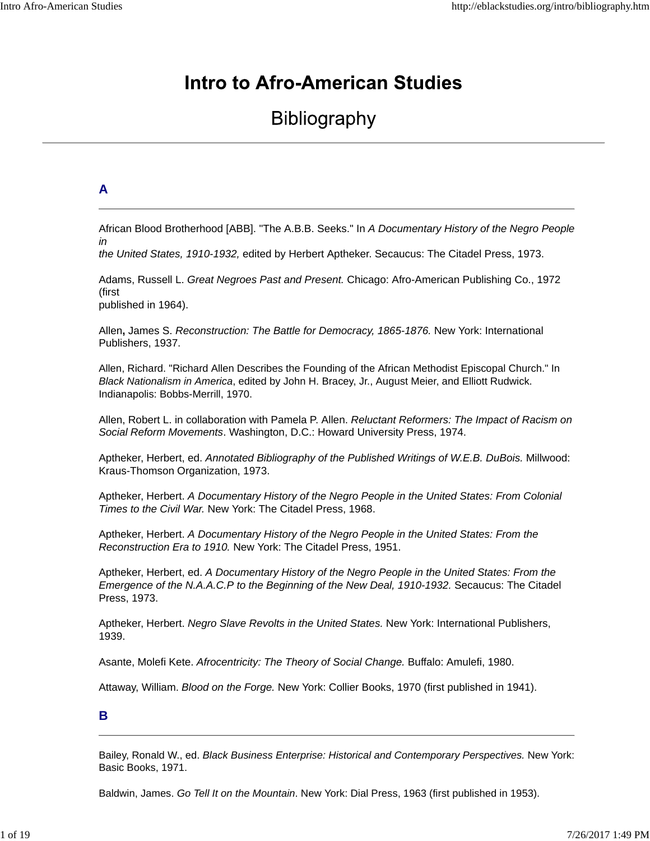# **Intro to Afro-American Studies**

# **Bibliography**

## **A**

African Blood Brotherhood [ABB]. "The A.B.B. Seeks." In *A Documentary History of the Negro People in* 

*the United States, 1910-1932,* edited by Herbert Aptheker. Secaucus: The Citadel Press, 1973.

Adams, Russell L. *Great Negroes Past and Present.* Chicago: Afro-American Publishing Co., 1972 (first published in 1964).

Allen**,** James S. *Reconstruction: The Battle for Democracy, 1865-1876.* New York: International Publishers, 1937.

Allen, Richard. "Richard Allen Describes the Founding of the African Methodist Episcopal Church." In *Black Nationalism in America*, edited by John H. Bracey, Jr., August Meier, and Elliott Rudwick. Indianapolis: Bobbs-Merrill, 1970.

Allen, Robert L. in collaboration with Pamela P. Allen. *Reluctant Reformers: The Impact of Racism on Social Reform Movements*. Washington, D.C.: Howard University Press, 1974.

Aptheker, Herbert, ed. *Annotated Bibliography of the Published Writings of W.E.B. DuBois.* Millwood: Kraus-Thomson Organization, 1973.

Aptheker, Herbert. *A Documentary History of the Negro People in the United States: From Colonial Times to the Civil War.* New York: The Citadel Press, 1968.

Aptheker, Herbert. *A Documentary History of the Negro People in the United States: From the Reconstruction Era to 1910.* New York: The Citadel Press, 1951.

Aptheker, Herbert, ed. *A Documentary History of the Negro People in the United States: From the Emergence of the N.A.A.C.P to the Beginning of the New Deal, 1910-1932.* Secaucus: The Citadel Press, 1973.

Aptheker, Herbert. *Negro Slave Revolts in the United States.* New York: International Publishers, 1939.

Asante, Molefi Kete. *Afrocentricity: The Theory of Social Change.* Buffalo: Amulefi, 1980.

Attaway, William. *Blood on the Forge.* New York: Collier Books, 1970 (first published in 1941).

## **B**

Bailey, Ronald W., ed. *Black Business Enterprise: Historical and Contemporary Perspectives.* New York: Basic Books, 1971.

Baldwin, James. *Go Tell It on the Mountain*. New York: Dial Press, 1963 (first published in 1953).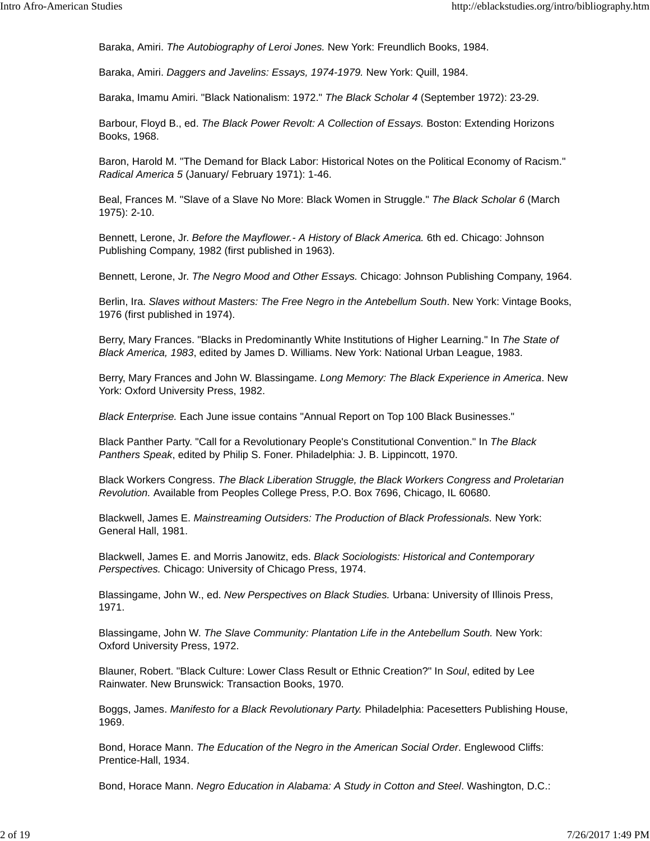Baraka, Amiri. *The Autobiography of Leroi Jones.* New York: Freundlich Books, 1984.

Baraka, Amiri. *Daggers and Javelins: Essays, 1974-1979.* New York: Quill, 1984.

Baraka, Imamu Amiri. "Black Nationalism: 1972." *The Black Scholar 4* (September 1972): 23-29.

Barbour, Floyd B., ed. *The Black Power Revolt: A Collection of Essays.* Boston: Extending Horizons Books, 1968.

Baron, Harold M. "The Demand for Black Labor: Historical Notes on the Political Economy of Racism." *Radical America 5* (January/ February 1971): 1-46.

Beal, Frances M. "Slave of a Slave No More: Black Women in Struggle." *The Black Scholar 6* (March 1975): 2-10.

Bennett, Lerone, Jr. *Before the Mayflower.- A History of Black America.* 6th ed. Chicago: Johnson Publishing Company, 1982 (first published in 1963).

Bennett, Lerone, Jr. *The Negro Mood and Other Essays.* Chicago: Johnson Publishing Company, 1964.

Berlin, Ira. *Slaves without Masters: The Free Negro in the Antebellum South*. New York: Vintage Books, 1976 (first published in 1974).

Berry, Mary Frances. "Blacks in Predominantly White Institutions of Higher Learning." In *The State of Black America, 1983*, edited by James D. Williams. New York: National Urban League, 1983.

Berry, Mary Frances and John W. Blassingame. *Long Memory: The Black Experience in America*. New York: Oxford University Press, 1982.

*Black Enterprise.* Each June issue contains "Annual Report on Top 100 Black Businesses."

Black Panther Party. "Call for a Revolutionary People's Constitutional Convention." In *The Black Panthers Speak*, edited by Philip S. Foner. Philadelphia: J. B. Lippincott, 1970.

Black Workers Congress. *The Black Liberation Struggle, the Black Workers Congress and Proletarian Revolution.* Available from Peoples College Press, P.O. Box 7696, Chicago, IL 60680.

Blackwell, James E. *Mainstreaming Outsiders: The Production of Black Professionals.* New York: General Hall, 1981.

Blackwell, James E. and Morris Janowitz, eds. *Black Sociologists: Historical and Contemporary Perspectives.* Chicago: University of Chicago Press, 1974.

Blassingame, John W., ed. *New Perspectives on Black Studies.* Urbana: University of Illinois Press, 1971.

Blassingame, John W. *The Slave Community: Plantation Life in the Antebellum South.* New York: Oxford University Press, 1972.

Blauner, Robert. "Black Culture: Lower Class Result or Ethnic Creation?" In *Soul*, edited by Lee Rainwater. New Brunswick: Transaction Books, 1970.

Boggs, James. *Manifesto for a Black Revolutionary Party.* Philadelphia: Pacesetters Publishing House, 1969.

Bond, Horace Mann. *The Education of the Negro in the American Social Order*. Englewood Cliffs: Prentice-Hall, 1934.

Bond, Horace Mann. *Negro Education in Alabama: A Study in Cotton and Steel*. Washington, D.C.: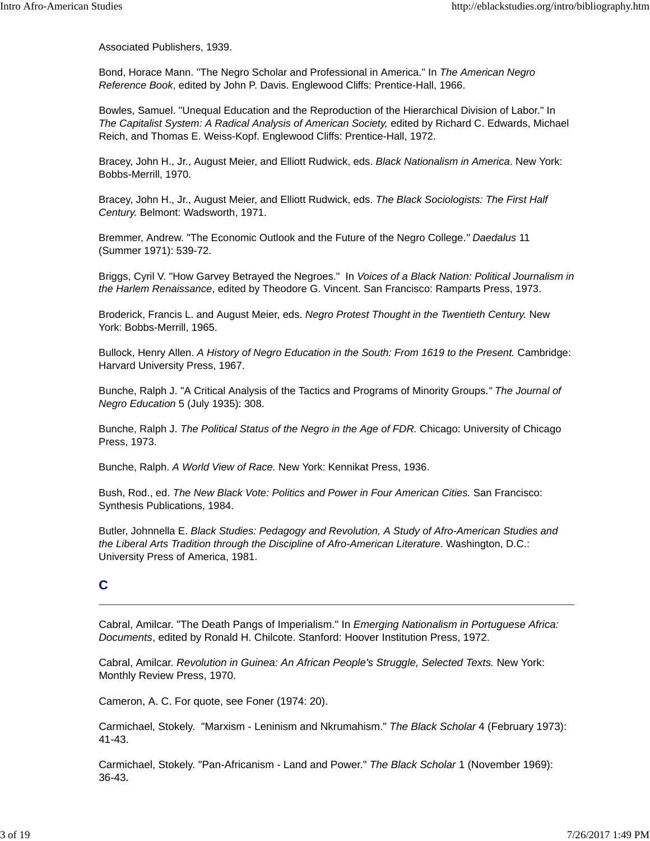Associated Publishers, 1939.

Bond, Horace Mann. "The Negro Scholar and Professional in America." In *The American Negro Reference Book*, edited by John P. Davis. Englewood Cliffs: Prentice-Hall, 1966.

Bowles, Samuel. "Unequal Education and the Reproduction of the Hierarchical Division of Labor." In *The Capitalist System: A Radical Analysis of American Society,* edited by Richard C. Edwards, Michael Reich, and Thomas E. Weiss-Kopf. Englewood Cliffs: Prentice-Hall, 1972.

Bracey, John H., Jr., August Meier, and Elliott Rudwick, eds. *Black Nationalism in America*. New York: Bobbs-Merrill, 1970.

Bracey, John H., Jr., August Meier, and Elliott Rudwick, eds. *The Black Sociologists: The First Half Century.* Belmont: Wadsworth, 1971.

Bremmer, Andrew. "The Economic Outlook and the Future of the Negro College.*" Daedalus* 11 (Summer 1971): 539-72.

Briggs, Cyril V. "How Garvey Betrayed the Negroes." In *Voices of a Black Nation: Political Journalism in the Harlem Renaissance*, edited by Theodore G. Vincent. San Francisco: Ramparts Press, 1973.

Broderick, Francis L. and August Meier, eds. *Negro Protest Thought in the Twentieth Century.* New York: Bobbs-Merrill, 1965.

Bullock, Henry Allen. A History of Negro Education in the South: From 1619 to the Present. Cambridge: Harvard University Press, 1967.

Bunche, Ralph J. "A Critical Analysis of the Tactics and Programs of Minority Groups.*" The Journal of Negro Education* 5 (July 1935): 308.

Bunche, Ralph J. *The Political Status of the Negro in the Age of FDR.* Chicago: University of Chicago Press, 1973.

Bunche, Ralph. *A World View of Race.* New York: Kennikat Press, 1936.

Bush, Rod., ed. *The New Black Vote: Politics and Power in Four American Cities.* San Francisco: Synthesis Publications, 1984.

Butler, Johnnella E. *Black Studies: Pedagogy and Revolution, A Study of Afro-American Studies and the Liberal Arts Tradition through the Discipline of Afro-American Literature*. Washington, D.C.: University Press of America, 1981.

## **C**

Cabral, Amilcar. "The Death Pangs of Imperialism." In *Emerging Nationalism in Portuguese Africa: Documents*, edited by Ronald H. Chilcote. Stanford: Hoover Institution Press, 1972.

Cabral, Amilcar. *Revolution in Guinea: An African People's Struggle, Selected Texts.* New York: Monthly Review Press, 1970.

Cameron, A. C. For quote, see Foner (1974: 20).

Carmichael, Stokely. "Marxism - Leninism and Nkrumahism." *The Black Scholar* 4 (February 1973): 41-43.

Carmichael, Stokely. "Pan-Africanism - Land and Power." *The Black Scholar* 1 (November 1969): 36-43.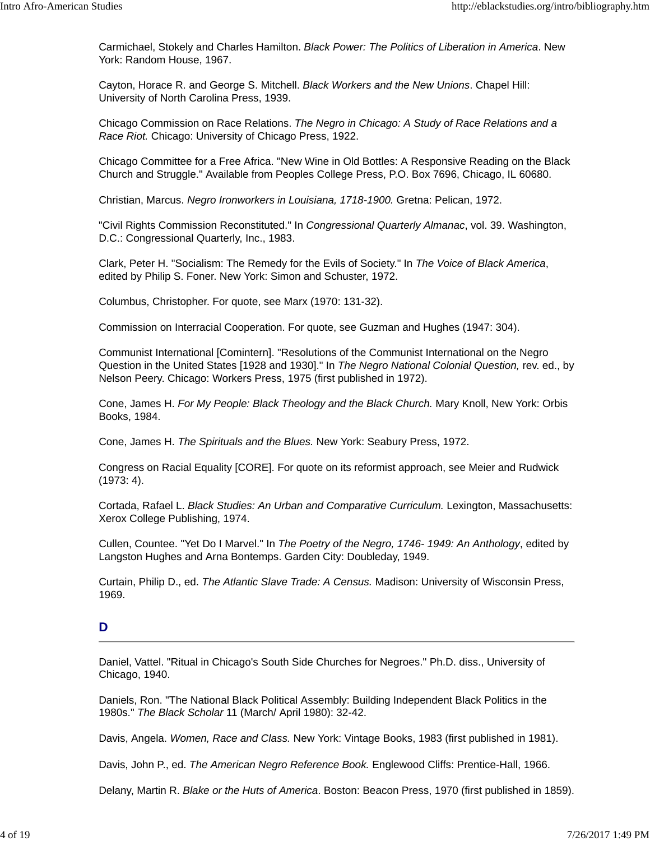Carmichael, Stokely and Charles Hamilton. *Black Power: The Politics of Liberation in America*. New York: Random House, 1967.

Cayton, Horace R. and George S. Mitchell. *Black Workers and the New Unions*. Chapel Hill: University of North Carolina Press, 1939.

Chicago Commission on Race Relations. *The Negro in Chicago: A Study of Race Relations and a Race Riot.* Chicago: University of Chicago Press, 1922.

Chicago Committee for a Free Africa. "New Wine in Old Bottles: A Responsive Reading on the Black Church and Struggle." Available from Peoples College Press, P.O. Box 7696, Chicago, IL 60680.

Christian, Marcus. *Negro Ironworkers in Louisiana, 1718-1900.* Gretna: Pelican, 1972.

"Civil Rights Commission Reconstituted." In *Congressional Quarterly Almanac*, vol. 39. Washington, D.C.: Congressional Quarterly, Inc., 1983.

Clark, Peter H. "Socialism: The Remedy for the Evils of Society." In *The Voice of Black America*, edited by Philip S. Foner. New York: Simon and Schuster, 1972.

Columbus, Christopher. For quote, see Marx (1970: 131-32).

Commission on Interracial Cooperation. For quote, see Guzman and Hughes (1947: 304).

Communist International [Comintern]. "Resolutions of the Communist International on the Negro Question in the United States [1928 and 1930]." In *The Negro National Colonial Question,* rev. ed., by Nelson Peery. Chicago: Workers Press, 1975 (first published in 1972).

Cone, James H. *For My People: Black Theology and the Black Church.* Mary Knoll, New York: Orbis Books, 1984.

Cone, James H. *The Spirituals and the Blues.* New York: Seabury Press, 1972.

Congress on Racial Equality [CORE]. For quote on its reformist approach, see Meier and Rudwick (1973: 4).

Cortada, Rafael L. *Black Studies: An Urban and Comparative Curriculum.* Lexington, Massachusetts: Xerox College Publishing, 1974.

Cullen, Countee. "Yet Do I Marvel." In *The Poetry of the Negro, 1746- 1949: An Anthology*, edited by Langston Hughes and Arna Bontemps. Garden City: Doubleday, 1949.

Curtain, Philip D., ed. *The Atlantic Slave Trade: A Census.* Madison: University of Wisconsin Press, 1969.

## **D**

Daniel, Vattel. "Ritual in Chicago's South Side Churches for Negroes." Ph.D. diss., University of Chicago, 1940.

Daniels, Ron. "The National Black Political Assembly: Building Independent Black Politics in the 1980s." *The Black Scholar* 11 (March/ April 1980): 32-42.

Davis, Angela. *Women, Race and Class.* New York: Vintage Books, 1983 (first published in 1981).

Davis, John P., ed. *The American Negro Reference Book.* Englewood Cliffs: Prentice-Hall, 1966.

Delany, Martin R. *Blake or the Huts of America*. Boston: Beacon Press, 1970 (first published in 1859).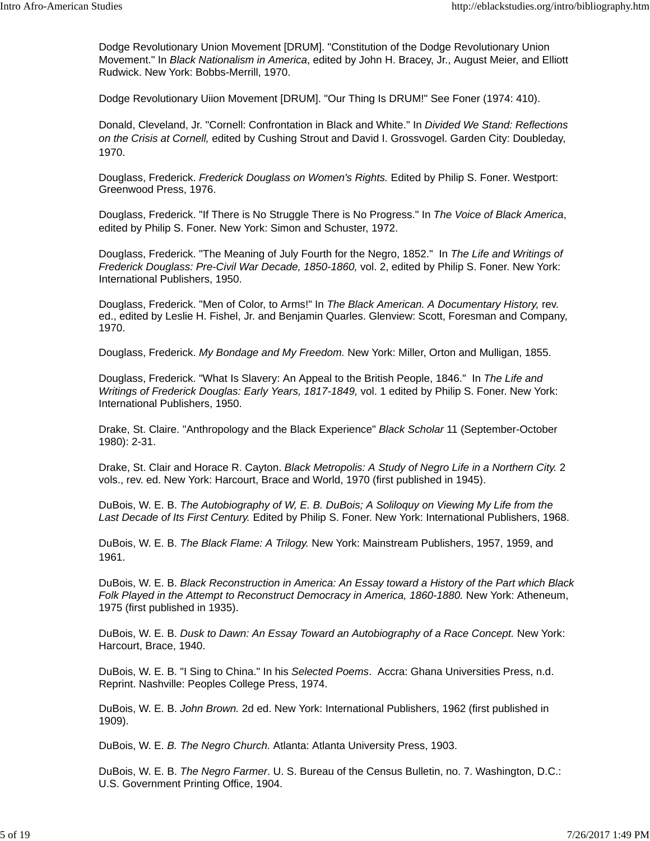Dodge Revolutionary Union Movement [DRUM]. "Constitution of the Dodge Revolutionary Union Movement." In *Black Nationalism in America*, edited by John H. Bracey, Jr., August Meier, and Elliott Rudwick. New York: Bobbs-Merrill, 1970.

Dodge Revolutionary Uiion Movement [DRUM]. "Our Thing Is DRUM!" See Foner (1974: 410).

Donald, Cleveland, Jr. "Cornell: Confrontation in Black and White." In *Divided We Stand: Reflections on the Crisis at Cornell,* edited by Cushing Strout and David I. Grossvogel. Garden City: Doubleday, 1970.

Douglass, Frederick. *Frederick Douglass on Women's Rights.* Edited by Philip S. Foner. Westport: Greenwood Press, 1976.

Douglass, Frederick. "If There is No Struggle There is No Progress." In *The Voice of Black America*, edited by Philip S. Foner. New York: Simon and Schuster, 1972.

Douglass, Frederick. "The Meaning of July Fourth for the Negro, 1852." In *The Life and Writings of Frederick Douglass: Pre-Civil War Decade, 1850-1860,* vol. 2, edited by Philip S. Foner. New York: International Publishers, 1950.

Douglass, Frederick. "Men of Color, to Arms!" In *The Black American. A Documentary History,* rev. ed., edited by Leslie H. Fishel, Jr. and Benjamin Quarles. Glenview: Scott, Foresman and Company, 1970.

Douglass, Frederick. *My Bondage and My Freedom.* New York: Miller, Orton and Mulligan, 1855.

Douglass, Frederick. "What Is Slavery: An Appeal to the British People, 1846." In *The Life and Writings of Frederick Douglas: Early Years, 1817-1849,* vol. 1 edited by Philip S. Foner. New York: International Publishers, 1950.

Drake, St. Claire. "Anthropology and the Black Experience" *Black Scholar* 11 (September-October 1980): 2-31.

Drake, St. Clair and Horace R. Cayton. *Black Metropolis: A Study of Negro Life in a Northern City.* 2 vols., rev. ed. New York: Harcourt, Brace and World, 1970 (first published in 1945).

DuBois, W. E. B. *The Autobiography of W, E. B. DuBois; A Soliloquy on Viewing My Life from the Last Decade of Its First Century.* Edited by Philip S. Foner. New York: International Publishers, 1968.

DuBois, W. E. B. *The Black Flame: A Trilogy.* New York: Mainstream Publishers, 1957, 1959, and 1961.

DuBois, W. E. B. *Black Reconstruction in America: An Essay toward a History of the Part which Black* Folk Played in the Attempt to Reconstruct Democracy in America, 1860-1880. New York: Atheneum, 1975 (first published in 1935).

DuBois, W. E. B. *Dusk to Dawn: An Essay Toward an Autobiography of a Race Concept.* New York: Harcourt, Brace, 1940.

DuBois, W. E. B. "I Sing to China." In his *Selected Poems*. Accra: Ghana Universities Press, n.d. Reprint. Nashville: Peoples College Press, 1974.

DuBois, W. E. B. *John Brown.* 2d ed. New York: International Publishers, 1962 (first published in 1909).

DuBois, W. E. *B. The Negro Church.* Atlanta: Atlanta University Press, 1903.

DuBois, W. E. B. *The Negro Farmer*. U. S. Bureau of the Census Bulletin, no. 7. Washington, D.C.: U.S. Government Printing Office, 1904.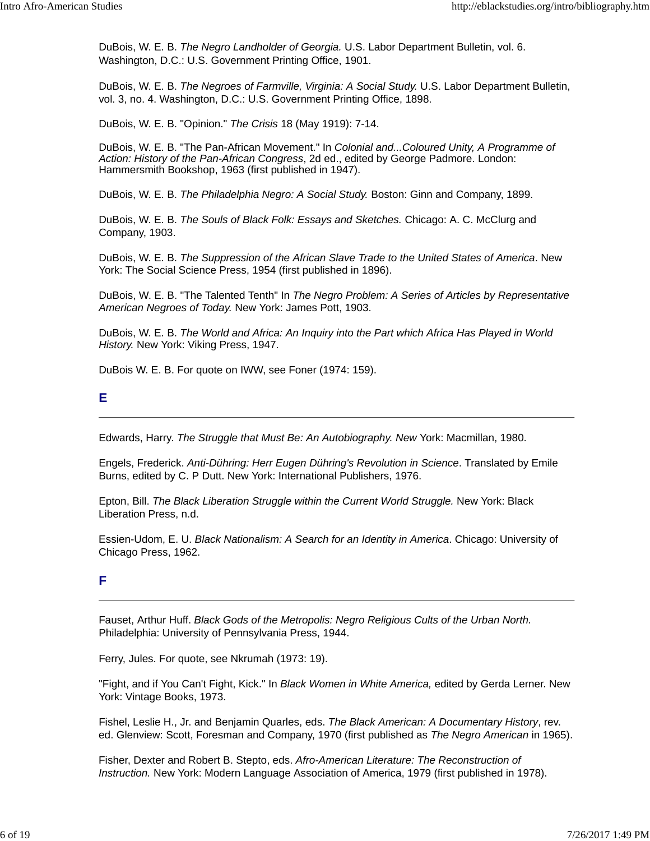DuBois, W. E. B. *The Negro Landholder of Georgia.* U.S. Labor Department Bulletin, vol. 6. Washington, D.C.: U.S. Government Printing Office, 1901.

DuBois, W. E. B. *The Negroes of Farmville, Virginia: A Social Study.* U.S. Labor Department Bulletin, vol. 3, no. 4. Washington, D.C.: U.S. Government Printing Office, 1898.

DuBois, W. E. B. "Opinion." *The Crisis* 18 (May 1919): 7-14.

DuBois, W. E. B. "The Pan-African Movement." In *Colonial and...Coloured Unity, A Programme of Action: History of the Pan-African Congress*, 2d ed., edited by George Padmore. London: Hammersmith Bookshop, 1963 (first published in 1947).

DuBois, W. E. B. *The Philadelphia Negro: A Social Study.* Boston: Ginn and Company, 1899.

DuBois, W. E. B. *The Souls of Black Folk: Essays and Sketches.* Chicago: A. C. McClurg and Company, 1903.

DuBois, W. E. B. *The Suppression of the African Slave Trade to the United States of America*. New York: The Social Science Press, 1954 (first published in 1896).

DuBois, W. E. B. "The Talented Tenth" In *The Negro Problem: A Series of Articles by Representative American Negroes of Today.* New York: James Pott, 1903.

DuBois, W. E. B. *The World and Africa: An Inquiry into the Part which Africa Has Played in World History.* New York: Viking Press, 1947.

DuBois W. E. B. For quote on IWW, see Foner (1974: 159).

#### **E**

Edwards, Harry. *The Struggle that Must Be: An Autobiography. New* York: Macmillan, 1980.

Engels, Frederick. *Anti-Dühring: Herr Eugen Dühring's Revolution in Science*. Translated by Emile Burns, edited by C. P Dutt. New York: International Publishers, 1976.

Epton, Bill. The Black Liberation Struggle within the Current World Struggle. New York: Black Liberation Press, n.d.

Essien-Udom, E. U. *Black Nationalism: A Search for an Identity in America*. Chicago: University of Chicago Press, 1962.

## **F**

Fauset, Arthur Huff. *Black Gods of the Metropolis: Negro Religious Cults of the Urban North.* Philadelphia: University of Pennsylvania Press, 1944.

Ferry, Jules. For quote, see Nkrumah (1973: 19).

"Fight, and if You Can't Fight, Kick." In *Black Women in White America,* edited by Gerda Lerner. New York: Vintage Books, 1973.

Fishel, Leslie H., Jr. and Benjamin Quarles, eds. *The Black American: A Documentary History*, rev. ed. Glenview: Scott, Foresman and Company, 1970 (first published as *The Negro American* in 1965).

Fisher, Dexter and Robert B. Stepto, eds. *Afro-American Literature: The Reconstruction of Instruction.* New York: Modern Language Association of America, 1979 (first published in 1978).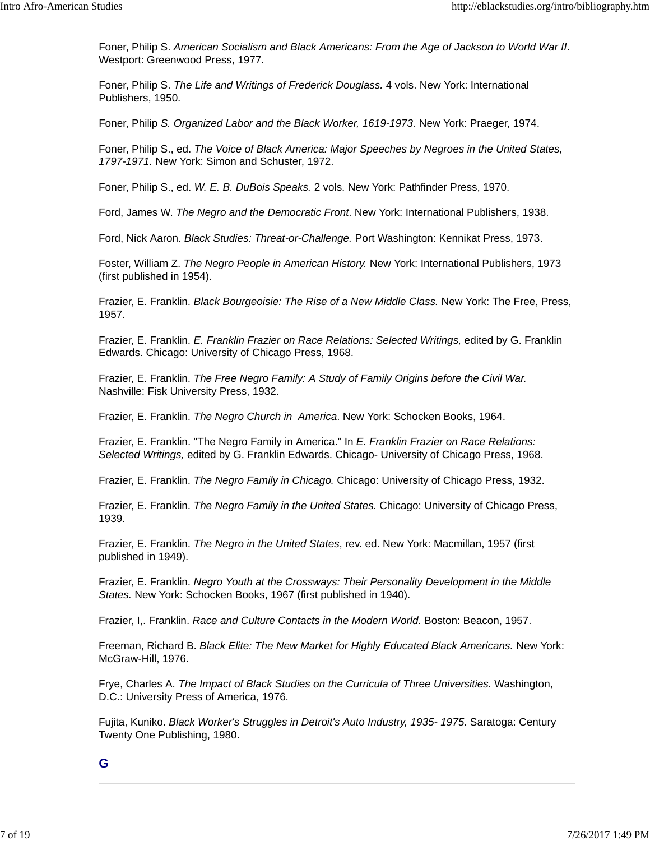Foner, Philip S. *American Socialism and Black Americans: From the Age of Jackson to World War II*. Westport: Greenwood Press, 1977.

Foner, Philip S. *The Life and Writings of Frederick Douglass.* 4 vols. New York: International Publishers, 1950.

Foner, Philip *S. Organized Labor and the Black Worker, 1619-1973.* New York: Praeger, 1974.

Foner, Philip S., ed. *The Voice of Black America: Major Speeches by Negroes in the United States, 1797-1971.* New York: Simon and Schuster, 1972.

Foner, Philip S., ed. *W. E. B. DuBois Speaks.* 2 vols. New York: Pathfinder Press, 1970.

Ford, James W. *The Negro and the Democratic Front*. New York: International Publishers, 1938.

Ford, Nick Aaron. *Black Studies: Threat-or-Challenge.* Port Washington: Kennikat Press, 1973.

Foster, William Z. *The Negro People in American History.* New York: International Publishers, 1973 (first published in 1954).

Frazier, E. Franklin. *Black Bourgeoisie: The Rise of a New Middle Class.* New York: The Free, Press, 1957.

Frazier, E. Franklin. *E. Franklin Frazier on Race Relations: Selected Writings,* edited by G. Franklin Edwards. Chicago: University of Chicago Press, 1968.

Frazier, E. Franklin. *The Free Negro Family: A Study of Family Origins before the Civil War.* Nashville: Fisk University Press, 1932.

Frazier, E. Franklin. *The Negro Church in America*. New York: Schocken Books, 1964.

Frazier, E. Franklin. "The Negro Family in America." In *E. Franklin Frazier on Race Relations: Selected Writings,* edited by G. Franklin Edwards. Chicago- University of Chicago Press, 1968.

Frazier, E. Franklin. *The Negro Family in Chicago.* Chicago: University of Chicago Press, 1932.

Frazier, E. Franklin. *The Negro Family in the United States.* Chicago: University of Chicago Press, 1939.

Frazier, E. Franklin. *The Negro in the United States*, rev. ed. New York: Macmillan, 1957 (first published in 1949).

Frazier, E. Franklin. *Negro Youth at the Crossways: Their Personality Development in the Middle States.* New York: Schocken Books, 1967 (first published in 1940).

Frazier, I,. Franklin. *Race and Culture Contacts in the Modern World.* Boston: Beacon, 1957.

Freeman, Richard B. *Black Elite: The New Market for Highly Educated Black Americans.* New York: McGraw-Hill, 1976.

Frye, Charles A. *The Impact of Black Studies on the Curricula of Three Universities.* Washington, D.C.: University Press of America, 1976.

Fujita, Kuniko. *Black Worker's Struggles in Detroit's Auto Industry, 1935- 1975*. Saratoga: Century Twenty One Publishing, 1980.

**G**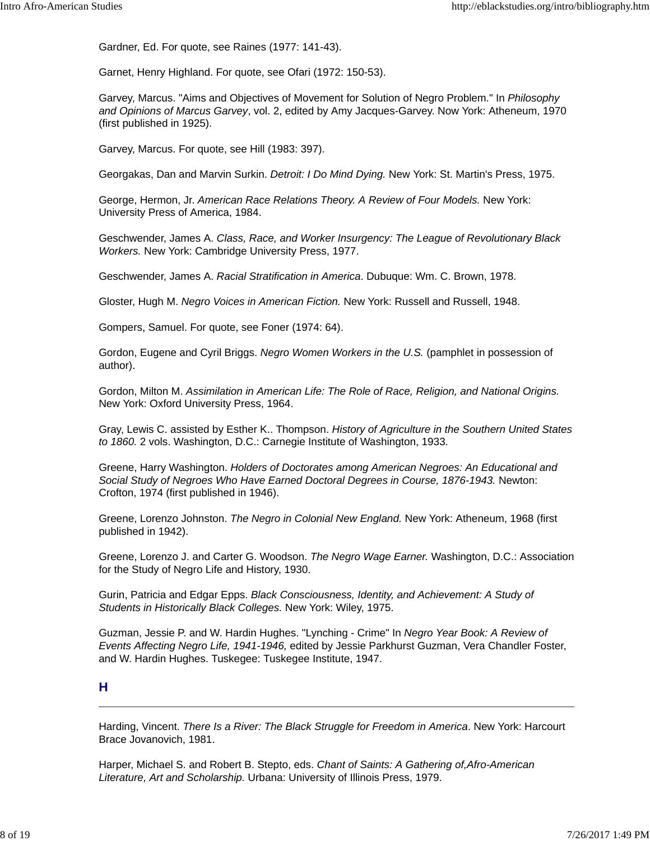Gardner, Ed. For quote, see Raines (1977: 141-43).

Garnet, Henry Highland. For quote, see Ofari (1972: 150-53).

Garvey, Marcus. "Aims and Objectives of Movement for Solution of Negro Problem." In *Philosophy and Opinions of Marcus Garvey*, vol. 2, edited by Amy Jacques-Garvey. Now York: Atheneum, 1970 (first published in 1925).

Garvey, Marcus. For quote, see Hill (1983: 397).

Georgakas, Dan and Marvin Surkin. *Detroit: I Do Mind Dying.* New York: St. Martin's Press, 1975.

George, Hermon, Jr. *American Race Relations Theory. A Review of Four Models.* New York: University Press of America, 1984.

Geschwender, James A. *Class, Race, and Worker Insurgency: The League of Revolutionary Black Workers.* New York: Cambridge University Press, 1977.

Geschwender, James A. *Racial Stratification in America*. Dubuque: Wm. C. Brown, 1978.

Gloster, Hugh M. *Negro Voices in American Fiction.* New York: Russell and Russell, 1948.

Gompers, Samuel. For quote, see Foner (1974: 64).

Gordon, Eugene and Cyril Briggs. *Negro Women Workers in the U.S.* (pamphlet in possession of author).

Gordon, Milton M. *Assimilation in American Life: The Role of Race, Religion, and National Origins.* New York: Oxford University Press, 1964.

Gray, Lewis C. assisted by Esther K.. Thompson. *History of Agriculture in the Southern United States to 1860.* 2 vols. Washington, D.C.: Carnegie Institute of Washington, 1933.

Greene, Harry Washington. *Holders of Doctorates among American Negroes: An Educational and Social Study of Negroes Who Have Earned Doctoral Degrees in Course, 1876-1943.* Newton: Crofton, 1974 (first published in 1946).

Greene, Lorenzo Johnston. *The Negro in Colonial New England.* New York: Atheneum, 1968 (first published in 1942).

Greene, Lorenzo J. and Carter G. Woodson. *The Negro Wage Earner.* Washington, D.C.: Association for the Study of Negro Life and History, 1930.

Gurin, Patricia and Edgar Epps. *Black Consciousness, Identity, and Achievement: A Study of Students in Historically Black Colleges.* New York: Wiley, 1975.

Guzman, Jessie P. and W. Hardin Hughes. "Lynching - Crime" In *Negro Year Book: A Review of Events Affecting Negro Life, 1941-1946,* edited by Jessie Parkhurst Guzman, Vera Chandler Foster, and W. Hardin Hughes. Tuskegee: Tuskegee Institute, 1947.

## **H**

Harding, Vincent. *There Is a River: The Black Struggle for Freedom in America*. New York: Harcourt Brace Jovanovich, 1981.

Harper, Michael S. and Robert B. Stepto, eds. *Chant of Saints: A Gathering of,Afro-American Literature, Art and Scholarship.* Urbana: University of Illinois Press, 1979.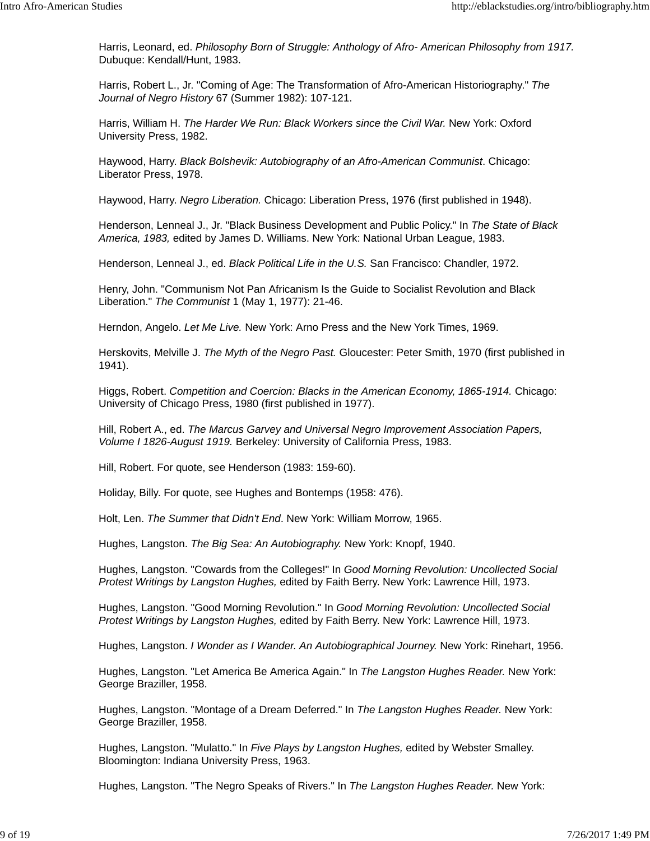Harris, Leonard, ed. *Philosophy Born of Struggle: Anthology of Afro- American Philosophy from 1917.* Dubuque: Kendall/Hunt, 1983.

Harris, Robert L., Jr. "Coming of Age: The Transformation of Afro-American Historiography." *The Journal of Negro History* 67 (Summer 1982): 107-121.

Harris, William H. *The Harder We Run: Black Workers since the Civil War*. New York: Oxford University Press, 1982.

Haywood, Harry. *Black Bolshevik: Autobiography of an Afro-American Communist*. Chicago: Liberator Press, 1978.

Haywood, Harry. *Negro Liberation.* Chicago: Liberation Press, 1976 (first published in 1948).

Henderson, Lenneal J., Jr. "Black Business Development and Public Policy." In *The State of Black America, 1983,* edited by James D. Williams. New York: National Urban League, 1983.

Henderson, Lenneal J., ed. *Black Political Life in the U.S.* San Francisco: Chandler, 1972.

Henry, John. "Communism Not Pan Africanism Is the Guide to Socialist Revolution and Black Liberation." *The Communist* 1 (May 1, 1977): 21-46.

Herndon, Angelo. *Let Me Live.* New York: Arno Press and the New York Times, 1969.

Herskovits, Melville J. *The Myth of the Negro Past.* Gloucester: Peter Smith, 1970 (first published in 1941).

Higgs, Robert. *Competition and Coercion: Blacks in the American Economy, 1865-1914.* Chicago: University of Chicago Press, 1980 (first published in 1977).

Hill, Robert A., ed. *The Marcus Garvey and Universal Negro Improvement Association Papers, Volume I 1826-August 1919.* Berkeley: University of California Press, 1983.

Hill, Robert. For quote, see Henderson (1983: 159-60).

Holiday, Billy. For quote, see Hughes and Bontemps (1958: 476).

Holt, Len. *The Summer that Didn't End*. New York: William Morrow, 1965.

Hughes, Langston. *The Big Sea: An Autobiography.* New York: Knopf, 1940.

Hughes, Langston. "Cowards from the Colleges!" In *Good Morning Revolution: Uncollected Social Protest Writings by Langston Hughes,* edited by Faith Berry. New York: Lawrence Hill, 1973.

Hughes, Langston. "Good Morning Revolution." In *Good Morning Revolution: Uncollected Social Protest Writings by Langston Hughes,* edited by Faith Berry. New York: Lawrence Hill, 1973.

Hughes, Langston. *I Wonder as I Wander. An Autobiographical Journey.* New York: Rinehart, 1956.

Hughes, Langston. "Let America Be America Again." In *The Langston Hughes Reader.* New York: George Braziller, 1958.

Hughes, Langston. "Montage of a Dream Deferred." In *The Langston Hughes Reader.* New York: George Braziller, 1958.

Hughes, Langston. "Mulatto." In *Five Plays by Langston Hughes,* edited by Webster Smalley. Bloomington: Indiana University Press, 1963.

Hughes, Langston. "The Negro Speaks of Rivers." In *The Langston Hughes Reader.* New York: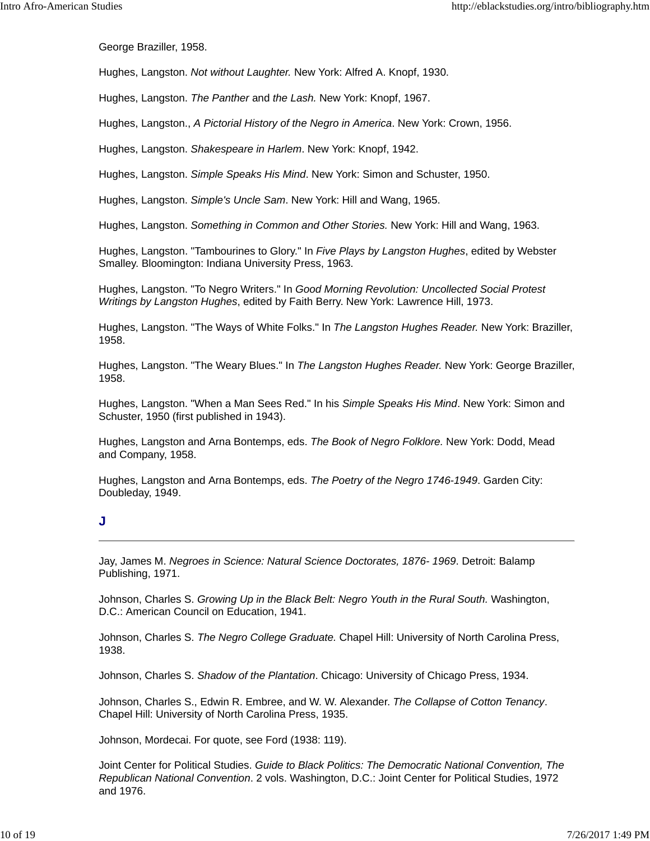George Braziller, 1958.

Hughes, Langston. *Not without Laughter.* New York: Alfred A. Knopf, 1930.

Hughes, Langston. *The Panther* and *the Lash.* New York: Knopf, 1967.

Hughes, Langston., *A Pictorial History of the Negro in America*. New York: Crown, 1956.

Hughes, Langston. *Shakespeare in Harlem*. New York: Knopf, 1942.

Hughes, Langston. *Simple Speaks His Mind*. New York: Simon and Schuster, 1950.

Hughes, Langston. *Simple's Uncle Sam*. New York: Hill and Wang, 1965.

Hughes, Langston. *Something in Common and Other Stories.* New York: Hill and Wang, 1963.

Hughes, Langston. "Tambourines to Glory." In *Five Plays by Langston Hughes*, edited by Webster Smalley. Bloomington: Indiana University Press, 1963.

Hughes, Langston. "To Negro Writers." In *Good Morning Revolution: Uncollected Social Protest Writings by Langston Hughes*, edited by Faith Berry. New York: Lawrence Hill, 1973.

Hughes, Langston. "The Ways of White Folks." In *The Langston Hughes Reader.* New York: Braziller, 1958.

Hughes, Langston. "The Weary Blues." In *The Langston Hughes Reader.* New York: George Braziller, 1958.

Hughes, Langston. "When a Man Sees Red." In his *Simple Speaks His Mind*. New York: Simon and Schuster, 1950 (first published in 1943).

Hughes, Langston and Arna Bontemps, eds. *The Book of Negro Folklore.* New York: Dodd, Mead and Company, 1958.

Hughes, Langston and Arna Bontemps, eds. *The Poetry of the Negro 1746-1949*. Garden City: Doubleday, 1949.

#### **J**

Jay, James M. *Negroes in Science: Natural Science Doctorates, 1876- 1969*. Detroit: Balamp Publishing, 1971.

Johnson, Charles S. *Growing Up in the Black Belt: Negro Youth in the Rural South.* Washington, D.C.: American Council on Education, 1941.

Johnson, Charles S. *The Negro College Graduate.* Chapel Hill: University of North Carolina Press, 1938.

Johnson, Charles S. *Shadow of the Plantation*. Chicago: University of Chicago Press, 1934.

Johnson, Charles S., Edwin R. Embree, and W. W. Alexander. *The Collapse of Cotton Tenancy*. Chapel Hill: University of North Carolina Press, 1935.

Johnson, Mordecai. For quote, see Ford (1938: 119).

Joint Center for Political Studies. *Guide to Black Politics: The Democratic National Convention, The Republican National Convention*. 2 vols. Washington, D.C.: Joint Center for Political Studies, 1972 and 1976.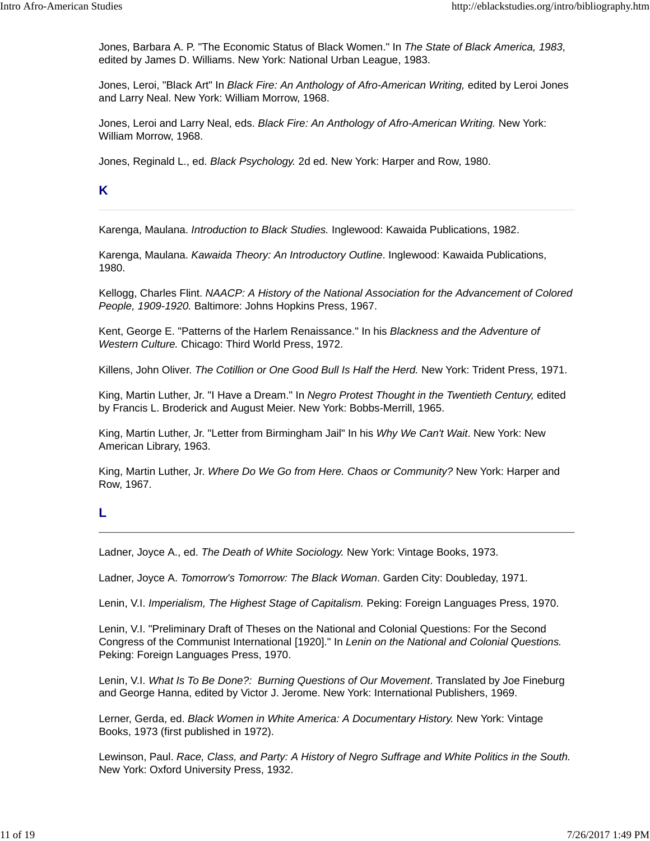Jones, Barbara A. P. "The Economic Status of Black Women." In *The State of Black America, 1983*, edited by James D. Williams. New York: National Urban League, 1983.

Jones, Leroi, "Black Art" In *Black Fire: An Anthology of Afro-American Writing,* edited by Leroi Jones and Larry Neal. New York: William Morrow, 1968.

Jones, Leroi and Larry Neal, eds. *Black Fire: An Anthology of Afro-American Writing.* New York: William Morrow, 1968.

Jones, Reginald L., ed. *Black Psychology.* 2d ed. New York: Harper and Row, 1980.

## **K**

Karenga, Maulana. *Introduction to Black Studies.* Inglewood: Kawaida Publications, 1982.

Karenga, Maulana. *Kawaida Theory: An Introductory Outline*. Inglewood: Kawaida Publications, 1980.

Kellogg, Charles Flint. *NAACP: A History of the National Association for the Advancement of Colored People, 1909-1920.* Baltimore: Johns Hopkins Press, 1967.

Kent, George E. "Patterns of the Harlem Renaissance." In his *Blackness and the Adventure of Western Culture.* Chicago: Third World Press, 1972.

Killens, John Oliver. *The Cotillion or One Good Bull Is Half the Herd.* New York: Trident Press, 1971.

King, Martin Luther, Jr. "I Have a Dream." In *Negro Protest Thought in the Twentieth Century,* edited by Francis L. Broderick and August Meier. New York: Bobbs-Merrill, 1965.

King, Martin Luther, Jr. "Letter from Birmingham Jail" In his *Why We Can't Wait*. New York: New American Library, 1963.

King, Martin Luther, Jr. *Where Do We Go from Here. Chaos or Community?* New York: Harper and Row, 1967.

## **L**

Ladner, Joyce A., ed. *The Death of White Sociology.* New York: Vintage Books, 1973.

Ladner, Joyce A. *Tomorrow's Tomorrow: The Black Woman*. Garden City: Doubleday, 1971.

Lenin, V.I. *Imperialism, The Highest Stage of Capitalism.* Peking: Foreign Languages Press, 1970.

Lenin, V.I. "Preliminary Draft of Theses on the National and Colonial Questions: For the Second Congress of the Communist International [1920]." In *Lenin on the National and Colonial Questions.* Peking: Foreign Languages Press, 1970.

Lenin, V.I. *What Is To Be Done?: Burning Questions of Our Movement*. Translated by Joe Fineburg and George Hanna, edited by Victor J. Jerome. New York: International Publishers, 1969.

Lerner, Gerda, ed. Black Women in White America: A Documentary History. New York: Vintage Books, 1973 (first published in 1972).

Lewinson, Paul. *Race, Class, and Party: A History of Negro Suffrage and White Politics in the South.* New York: Oxford University Press, 1932.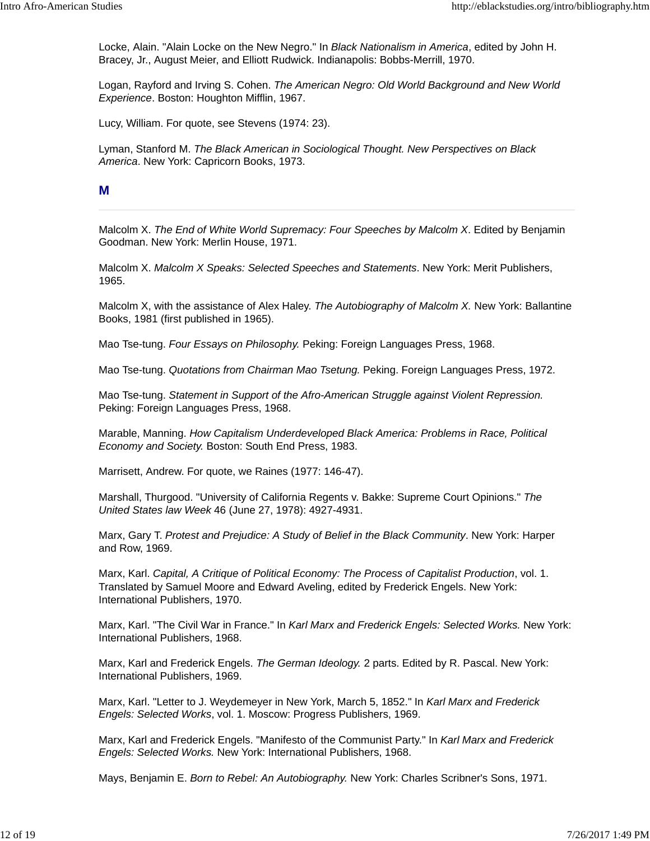Locke, Alain. "Alain Locke on the New Negro." In *Black Nationalism in America*, edited by John H. Bracey, Jr., August Meier, and Elliott Rudwick. Indianapolis: Bobbs-Merrill, 1970.

Logan, Rayford and Irving S. Cohen. *The American Negro: Old World Background and New World Experience*. Boston: Houghton Mifflin, 1967.

Lucy, William. For quote, see Stevens (1974: 23).

Lyman, Stanford M. *The Black American in Sociological Thought. New Perspectives on Black America*. New York: Capricorn Books, 1973.

#### **M**

Malcolm X. *The End of White World Supremacy: Four Speeches by Malcolm X*. Edited by Benjamin Goodman. New York: Merlin House, 1971.

Malcolm X. *Malcolm X Speaks: Selected Speeches and Statements*. New York: Merit Publishers, 1965.

Malcolm X, with the assistance of Alex Haley. *The Autobiography of Malcolm X.* New York: Ballantine Books, 1981 (first published in 1965).

Mao Tse-tung. *Four Essays on Philosophy.* Peking: Foreign Languages Press, 1968.

Mao Tse-tung. *Quotations from Chairman Mao Tsetung.* Peking. Foreign Languages Press, 1972.

Mao Tse-tung. *Statement in Support of the Afro-American Struggle against Violent Repression.* Peking: Foreign Languages Press, 1968.

Marable, Manning. *How Capitalism Underdeveloped Black America: Problems in Race, Political Economy and Society.* Boston: South End Press, 1983.

Marrisett, Andrew. For quote, we Raines (1977: 146-47).

Marshall, Thurgood. "University of California Regents v. Bakke: Supreme Court Opinions." *The United States law Week* 46 (June 27, 1978): 4927-4931.

Marx, Gary T. *Protest and Prejudice: A Study of Belief in the Black Community*. New York: Harper and Row, 1969.

Marx, Karl. *Capital, A Critique of Political Economy: The Process of Capitalist Production*, vol. 1. Translated by Samuel Moore and Edward Aveling, edited by Frederick Engels. New York: International Publishers, 1970.

Marx, Karl. "The Civil War in France." In *Karl Marx and Frederick Engels: Selected Works.* New York: International Publishers, 1968.

Marx, Karl and Frederick Engels. *The German Ideology.* 2 parts. Edited by R. Pascal. New York: International Publishers, 1969.

Marx, Karl. "Letter to J. Weydemeyer in New York, March 5, 1852." In *Karl Marx and Frederick Engels: Selected Works*, vol. 1. Moscow: Progress Publishers, 1969.

Marx, Karl and Frederick Engels. "Manifesto of the Communist Party." In *Karl Marx and Frederick Engels: Selected Works.* New York: International Publishers, 1968.

Mays, Benjamin E. *Born to Rebel: An Autobiography.* New York: Charles Scribner's Sons, 1971.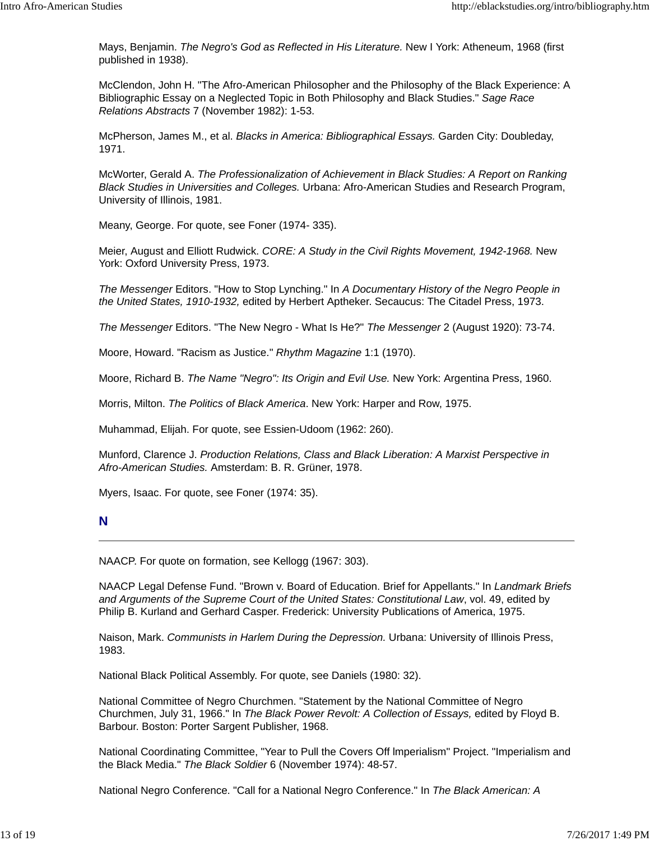Mays, Benjamin. *The Negro's God as Reflected in His Literature.* New I York: Atheneum, 1968 (first published in 1938).

McClendon, John H. "The Afro-American Philosopher and the Philosophy of the Black Experience: A Bibliographic Essay on a Neglected Topic in Both Philosophy and Black Studies." *Sage Race Relations Abstracts* 7 (November 1982): 1-53.

McPherson, James M., et al. *Blacks in America: Bibliographical Essays.* Garden City: Doubleday, 1971.

McWorter, Gerald A. *The Professionalization of Achievement in Black Studies: A Report on Ranking Black Studies in Universities and Colleges.* Urbana: Afro-American Studies and Research Program, University of Illinois, 1981.

Meany, George. For quote, see Foner (1974- 335).

Meier, August and Elliott Rudwick. *CORE: A Study in the Civil Rights Movement, 1942-1968.* New York: Oxford University Press, 1973.

*The Messenger* Editors. "How to Stop Lynching." In *A Documentary History of the Negro People in the United States, 1910-1932,* edited by Herbert Aptheker. Secaucus: The Citadel Press, 1973.

*The Messenger* Editors. "The New Negro - What Is He?" *The Messenger* 2 (August 1920): 73-74.

Moore, Howard. "Racism as Justice." *Rhythm Magazine* 1:1 (1970).

Moore, Richard B. *The Name "Negro": Its Origin and Evil Use.* New York: Argentina Press, 1960.

Morris, Milton. *The Politics of Black America*. New York: Harper and Row, 1975.

Muhammad, Elijah. For quote, see Essien-Udoom (1962: 260).

Munford, Clarence J. *Production Relations, Class and Black Liberation: A Marxist Perspective in Afro-American Studies.* Amsterdam: B. R. Grüner, 1978.

Myers, Isaac. For quote, see Foner (1974: 35).

#### **N**

NAACP. For quote on formation, see Kellogg (1967: 303).

NAACP Legal Defense Fund. "Brown v. Board of Education. Brief for Appellants." In *Landmark Briefs and Arguments of the Supreme Court of the United States: Constitutional Law*, vol. 49, edited by Philip B. Kurland and Gerhard Casper. Frederick: University Publications of America, 1975.

Naison, Mark. *Communists in Harlem During the Depression.* Urbana: University of Illinois Press, 1983.

National Black Political Assembly. For quote, see Daniels (1980: 32).

National Committee of Negro Churchmen. "Statement by the National Committee of Negro Churchmen, July 31, 1966." In *The Black Power Revolt: A Collection of Essays,* edited by Floyd B. Barbour. Boston: Porter Sargent Publisher, 1968.

National Coordinating Committee, "Year to Pull the Covers Off lmperialism" Project. "Imperialism and the Black Media." *The Black Soldier* 6 (November 1974): 48-57.

National Negro Conference. "Call for a National Negro Conference." In *The Black American: A*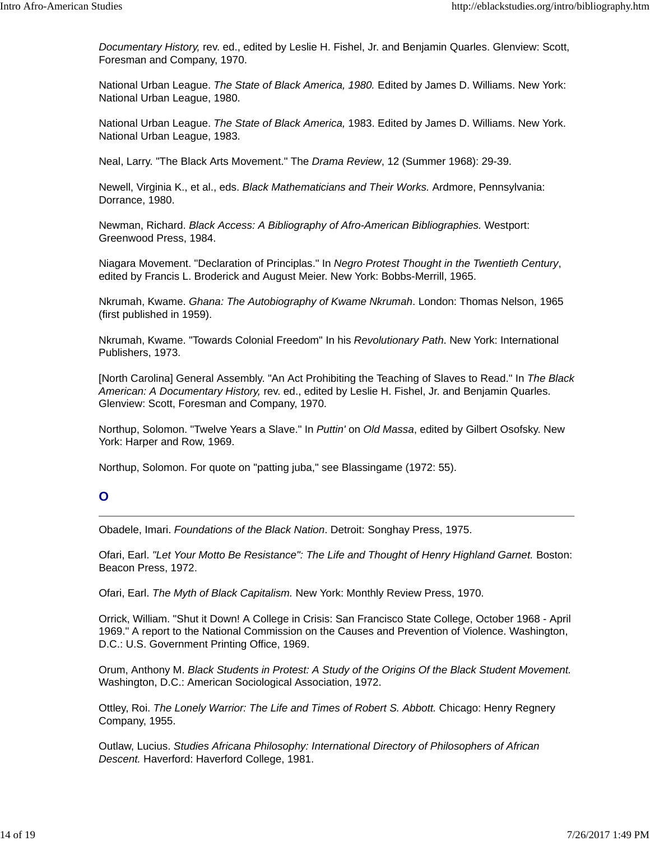*Documentary History,* rev. ed., edited by Leslie H. Fishel, Jr. and Benjamin Quarles. Glenview: Scott, Foresman and Company, 1970.

National Urban League. *The State of Black America, 1980.* Edited by James D. Williams. New York: National Urban League, 1980.

National Urban League. *The State of Black America,* 1983. Edited by James D. Williams. New York. National Urban League, 1983.

Neal, Larry. "The Black Arts Movement." The *Drama Review*, 12 (Summer 1968): 29-39.

Newell, Virginia K., et al., eds. *Black Mathematicians and Their Works.* Ardmore, Pennsylvania: Dorrance, 1980.

Newman, Richard. *Black Access: A Bibliography of Afro-American Bibliographies.* Westport: Greenwood Press, 1984.

Niagara Movement. "Declaration of Principlas." In *Negro Protest Thought in the Twentieth Century*, edited by Francis L. Broderick and August Meier. New York: Bobbs-Merrill, 1965.

Nkrumah, Kwame. *Ghana: The Autobiography of Kwame Nkrumah*. London: Thomas Nelson, 1965 (first published in 1959).

Nkrumah, Kwame. "Towards Colonial Freedom" In his *Revolutionary Path*. New York: International Publishers, 1973.

[North Carolina] General Assembly. "An Act Prohibiting the Teaching of Slaves to Read." In *The Black American: A Documentary History,* rev. ed., edited by Leslie H. Fishel, Jr. and Benjamin Quarles. Glenview: Scott, Foresman and Company, 1970.

Northup, Solomon. "Twelve Years a Slave." In *Puttin'* on *Old Massa*, edited by Gilbert Osofsky. New York: Harper and Row, 1969.

Northup, Solomon. For quote on "patting juba," see Blassingame (1972: 55).

## **O**

Obadele, Imari. *Foundations of the Black Nation*. Detroit: Songhay Press, 1975.

Ofari, Earl. "Let Your Motto Be Resistance": The Life and Thought of Henry Highland Garnet. Boston: Beacon Press, 1972.

Ofari, Earl. *The Myth of Black Capitalism.* New York: Monthly Review Press, 1970.

Orrick, William. "Shut it Down! A College in Crisis: San Francisco State College, October 1968 - April 1969." A report to the National Commission on the Causes and Prevention of Violence. Washington, D.C.: U.S. Government Printing Office, 1969.

Orum, Anthony M. *Black Students in Protest: A Study of the Origins Of the Black Student Movement.* Washington, D.C.: American Sociological Association, 1972.

Ottley, Roi. *The Lonely Warrior: The Life and Times of Robert S. Abbott.* Chicago: Henry Regnery Company, 1955.

Outlaw, Lucius. *Studies Africana Philosophy: International Directory of Philosophers of African Descent.* Haverford: Haverford College, 1981.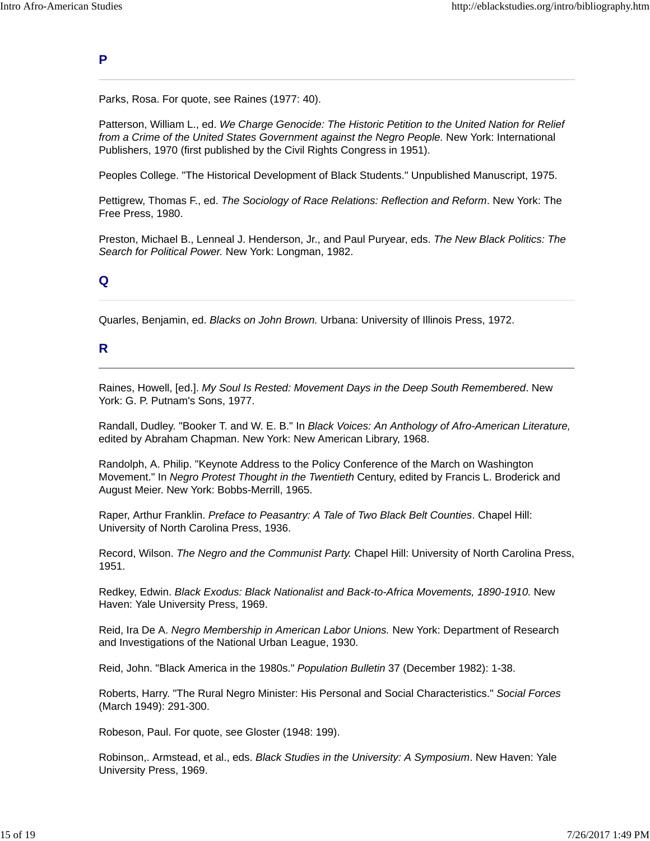#### **P**

Parks, Rosa. For quote, see Raines (1977: 40).

Patterson, William L., ed. *We Charge Genocide: The Historic Petition to the United Nation for Relief from a Crime of the United States Government against the Negro People.* New York: International Publishers, 1970 (first published by the Civil Rights Congress in 1951).

Peoples College. "The Historical Development of Black Students." Unpublished Manuscript, 1975.

Pettigrew, Thomas F., ed. *The Sociology of Race Relations: Reflection and Reform*. New York: The Free Press, 1980.

Preston, Michael B., Lenneal J. Henderson, Jr., and Paul Puryear, eds. *The New Black Politics: The Search for Political Power.* New York: Longman, 1982.

## **Q**

Quarles, Benjamin, ed. *Blacks on John Brown.* Urbana: University of Illinois Press, 1972.

#### **R**

Raines, Howell, [ed.]. *My Soul Is Rested: Movement Days in the Deep South Remembered*. New York: G. P. Putnam's Sons, 1977.

Randall, Dudley. "Booker T. and W. E. B." In *Black Voices: An Anthology of Afro-American Literature,* edited by Abraham Chapman. New York: New American Library, 1968.

Randolph, A. Philip. "Keynote Address to the Policy Conference of the March on Washington Movement." In *Negro Protest Thought in the Twentieth* Century, edited by Francis L. Broderick and August Meier. New York: Bobbs-Merrill, 1965.

Raper, Arthur Franklin. *Preface to Peasantry: A Tale of Two Black Belt Counties*. Chapel Hill: University of North Carolina Press, 1936.

Record, Wilson. *The Negro and the Communist Party.* Chapel Hill: University of North Carolina Press, 1951.

Redkey, Edwin. *Black Exodus: Black Nationalist and Back-to-Africa Movements, 1890-1910.* New Haven: Yale University Press, 1969.

Reid, Ira De A. *Negro Membership in American Labor Unions.* New York: Department of Research and Investigations of the National Urban League, 1930.

Reid, John. "Black America in the 1980s." *Population Bulletin* 37 (December 1982): 1-38.

Roberts, Harry. "The Rural Negro Minister: His Personal and Social Characteristics." *Social Forces* (March 1949): 291-300.

Robeson, Paul. For quote, see Gloster (1948: 199).

Robinson,. Armstead, et al., eds. *Black Studies in the University: A Symposium*. New Haven: Yale University Press, 1969.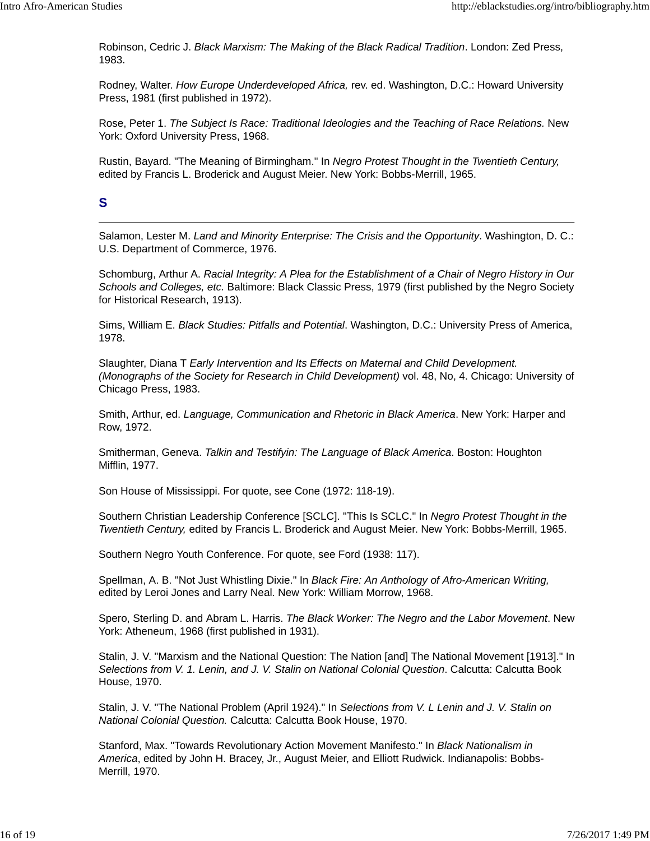Robinson, Cedric J. *Black Marxism: The Making of the Black Radical Tradition*. London: Zed Press, 1983.

Rodney, Walter. *How Europe Underdeveloped Africa,* rev. ed. Washington, D.C.: Howard University Press, 1981 (first published in 1972).

Rose, Peter 1. *The Subject Is Race: Traditional Ideologies and the Teaching of Race Relations.* New York: Oxford University Press, 1968.

Rustin, Bayard. "The Meaning of Birmingham." In *Negro Protest Thought in the Twentieth Century,* edited by Francis L. Broderick and August Meier. New York: Bobbs-Merrill, 1965.

## **S**

Salamon, Lester M. *Land and Minority Enterprise: The Crisis and the Opportunity*. Washington, D. C.: U.S. Department of Commerce, 1976.

Schomburg, Arthur A. *Racial Integrity: A Plea for the Establishment of a Chair of Negro History in Our Schools and Colleges, etc.* Baltimore: Black Classic Press, 1979 (first published by the Negro Society for Historical Research, 1913).

Sims, William E. *Black Studies: Pitfalls and Potential*. Washington, D.C.: University Press of America, 1978.

Slaughter, Diana T *Early Intervention and Its Effects on Maternal and Child Development. (Monographs of the Society for Research in Child Development)* vol. 48, No, 4. Chicago: University of Chicago Press, 1983.

Smith, Arthur, ed. *Language, Communication and Rhetoric in Black America*. New York: Harper and Row, 1972.

Smitherman, Geneva. *Talkin and Testifyin: The Language of Black America*. Boston: Houghton Mifflin, 1977.

Son House of Mississippi. For quote, see Cone (1972: 118-19).

Southern Christian Leadership Conference [SCLC]. "This Is SCLC." In *Negro Protest Thought in the Twentieth Century,* edited by Francis L. Broderick and August Meier. New York: Bobbs-Merrill, 1965.

Southern Negro Youth Conference. For quote, see Ford (1938: 117).

Spellman, A. B. "Not Just Whistling Dixie." In *Black Fire: An Anthology of Afro-American Writing,* edited by Leroi Jones and Larry Neal. New York: William Morrow, 1968.

Spero, Sterling D. and Abram L. Harris. *The Black Worker: The Negro and the Labor Movement*. New York: Atheneum, 1968 (first published in 1931).

Stalin, J. V. "Marxism and the National Question: The Nation [and] The National Movement [1913]." In *Selections from V. 1. Lenin, and J. V. Stalin on National Colonial Question*. Calcutta: Calcutta Book House, 1970.

Stalin, J. V. "The National Problem (April 1924)." In *Selections from V. L Lenin and J. V. Stalin on National Colonial Question.* Calcutta: Calcutta Book House, 1970.

Stanford, Max. "Towards Revolutionary Action Movement Manifesto." In *Black Nationalism in America*, edited by John H. Bracey, Jr., August Meier, and Elliott Rudwick. Indianapolis: Bobbs-Merrill, 1970.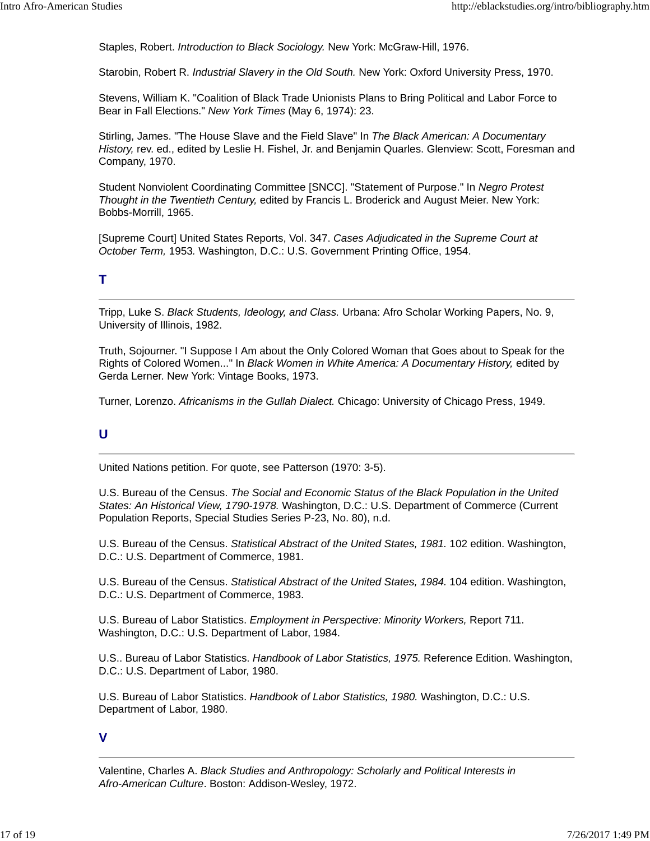Staples, Robert. *Introduction to Black Sociology.* New York: McGraw-Hill, 1976.

Starobin, Robert R. *Industrial Slavery in the Old South.* New York: Oxford University Press, 1970.

Stevens, William K. "Coalition of Black Trade Unionists Plans to Bring Political and Labor Force to Bear in Fall Elections." *New York Times* (May 6, 1974): 23.

Stirling, James. "The House Slave and the Field Slave" In *The Black American: A Documentary History,* rev. ed., edited by Leslie H. Fishel, Jr. and Benjamin Quarles. Glenview: Scott, Foresman and Company, 1970.

Student Nonviolent Coordinating Committee [SNCC]. "Statement of Purpose." In *Negro Protest Thought in the Twentieth Century,* edited by Francis L. Broderick and August Meier. New York: Bobbs-Morrill, 1965.

[Supreme Court] United States Reports, Vol. 347. *Cases Adjudicated in the Supreme Court at October Term,* 1953*.* Washington, D.C.: U.S. Government Printing Office, 1954.

## **T**

Tripp, Luke S. *Black Students, Ideology, and Class.* Urbana: Afro Scholar Working Papers, No. 9, University of Illinois, 1982.

Truth, Sojourner. "I Suppose I Am about the Only Colored Woman that Goes about to Speak for the Rights of Colored Women..." In *Black Women in White America: A Documentary History,* edited by Gerda Lerner. New York: Vintage Books, 1973.

Turner, Lorenzo. *Africanisms in the Gullah Dialect.* Chicago: University of Chicago Press, 1949.

## **U**

United Nations petition. For quote, see Patterson (1970: 3-5).

U.S. Bureau of the Census. *The Social and Economic Status of the Black Population in the United States: An Historical View, 1790-1978.* Washington, D.C.: U.S. Department of Commerce (Current Population Reports, Special Studies Series P-23, No. 80), n.d.

U.S. Bureau of the Census. *Statistical Abstract of the United States, 1981.* 102 edition. Washington, D.C.: U.S. Department of Commerce, 1981.

U.S. Bureau of the Census. *Statistical Abstract of the United States, 1984.* 104 edition. Washington, D.C.: U.S. Department of Commerce, 1983.

U.S. Bureau of Labor Statistics. *Employment in Perspective: Minority Workers,* Report 711. Washington, D.C.: U.S. Department of Labor, 1984.

U.S.. Bureau of Labor Statistics. *Handbook of Labor Statistics, 1975.* Reference Edition. Washington, D.C.: U.S. Department of Labor, 1980.

U.S. Bureau of Labor Statistics. *Handbook of Labor Statistics, 1980.* Washington, D.C.: U.S. Department of Labor, 1980.

#### **V**

Valentine, Charles A. *Black Studies and Anthropology: Scholarly and Political Interests in Afro-American Culture*. Boston: Addison-Wesley, 1972.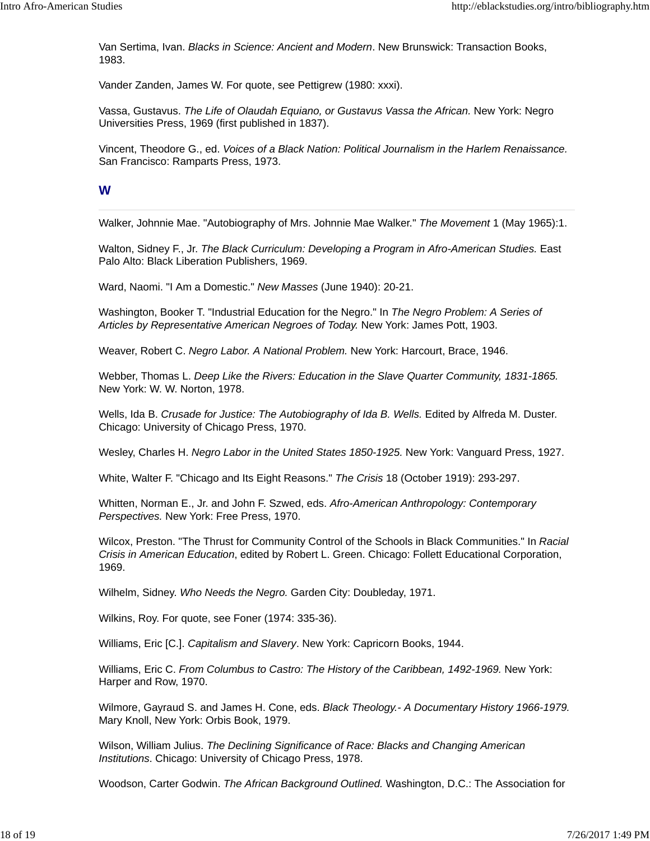Van Sertima, Ivan. *Blacks in Science: Ancient and Modern*. New Brunswick: Transaction Books, 1983.

Vander Zanden, James W. For quote, see Pettigrew (1980: xxxi).

Vassa, Gustavus. *The Life of Olaudah Equiano, or Gustavus Vassa the African.* New York: Negro Universities Press, 1969 (first published in 1837).

Vincent, Theodore G., ed. *Voices of a Black Nation: Political Journalism in the Harlem Renaissance.* San Francisco: Ramparts Press, 1973.

## **W**

Walker, Johnnie Mae. "Autobiography of Mrs. Johnnie Mae Walker." *The Movement* 1 (May 1965):1.

Walton, Sidney F., Jr. *The Black Curriculum: Developing a Program in Afro-American Studies.* East Palo Alto: Black Liberation Publishers, 1969.

Ward, Naomi. "I Am a Domestic." *New Masses* (June 1940): 20-21.

Washington, Booker T. "Industrial Education for the Negro." In *The Negro Problem: A Series of Articles by Representative American Negroes of Today.* New York: James Pott, 1903.

Weaver, Robert C. *Negro Labor. A National Problem.* New York: Harcourt, Brace, 1946.

Webber, Thomas L. *Deep Like the Rivers: Education in the Slave Quarter Community, 1831-1865.* New York: W. W. Norton, 1978.

Wells, Ida B. *Crusade for Justice: The Autobiography of Ida B. Wells.* Edited by Alfreda M. Duster. Chicago: University of Chicago Press, 1970.

Wesley, Charles H. *Negro Labor in the United States 1850-1925.* New York: Vanguard Press, 1927.

White, Walter F. "Chicago and Its Eight Reasons." *The Crisis* 18 (October 1919): 293-297.

Whitten, Norman E., Jr. and John F. Szwed, eds. *Afro-American Anthropology: Contemporary Perspectives.* New York: Free Press, 1970.

Wilcox, Preston. "The Thrust for Community Control of the Schools in Black Communities." In *Racial Crisis in American Education*, edited by Robert L. Green. Chicago: Follett Educational Corporation, 1969.

Wilhelm, Sidney. *Who Needs the Negro.* Garden City: Doubleday, 1971.

Wilkins, Roy. For quote, see Foner (1974: 335-36).

Williams, Eric [C.]. *Capitalism and Slavery*. New York: Capricorn Books, 1944.

Williams, Eric C. *From Columbus to Castro: The History of the Caribbean, 1492-1969.* New York: Harper and Row, 1970.

Wilmore, Gayraud S. and James H. Cone, eds. *Black Theology.- A Documentary History 1966-1979.* Mary Knoll, New York: Orbis Book, 1979.

Wilson, William Julius. *The Declining Significance of Race: Blacks and Changing American Institutions*. Chicago: University of Chicago Press, 1978.

Woodson, Carter Godwin. *The African Background Outlined.* Washington, D.C.: The Association for